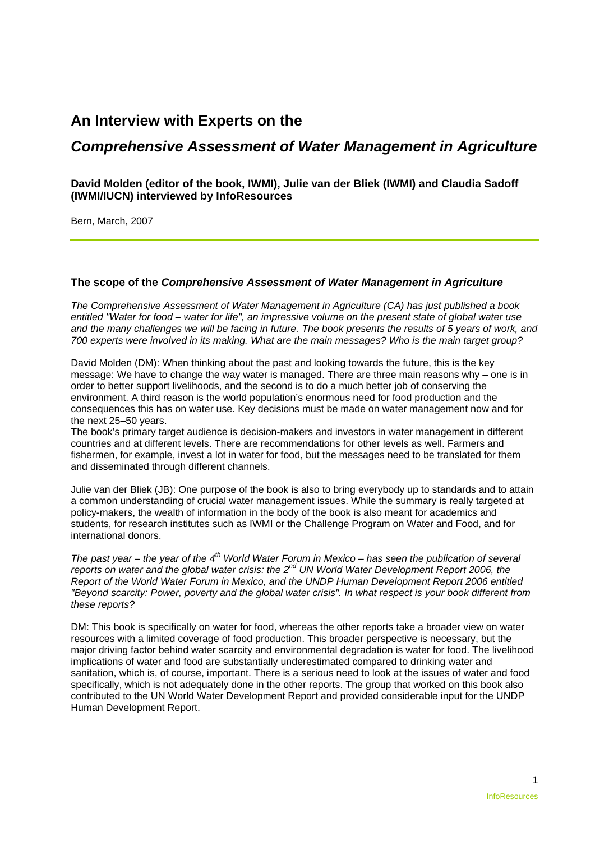# **An Interview with Experts on the**

# *Comprehensive Assessment of Water Management in Agriculture*

# **David Molden (editor of the book, IWMI), Julie van der Bliek (IWMI) and Claudia Sadoff (IWMI/IUCN) interviewed by InfoResources**

Bern, March, 2007

# **The scope of the** *Comprehensive Assessment of Water Management in Agriculture*

*The Comprehensive Assessment of Water Management in Agriculture (CA) has just published a book entitled "Water for food – water for life", an impressive volume on the present state of global water use and the many challenges we will be facing in future. The book presents the results of 5 years of work, and 700 experts were involved in its making. What are the main messages? Who is the main target group?* 

David Molden (DM): When thinking about the past and looking towards the future, this is the key message: We have to change the way water is managed. There are three main reasons why – one is in order to better support livelihoods, and the second is to do a much better job of conserving the environment. A third reason is the world population's enormous need for food production and the consequences this has on water use. Key decisions must be made on water management now and for the next 25–50 years.

The book's primary target audience is decision-makers and investors in water management in different countries and at different levels. There are recommendations for other levels as well. Farmers and fishermen, for example, invest a lot in water for food, but the messages need to be translated for them and disseminated through different channels.

Julie van der Bliek (JB): One purpose of the book is also to bring everybody up to standards and to attain a common understanding of crucial water management issues. While the summary is really targeted at policy-makers, the wealth of information in the body of the book is also meant for academics and students, for research institutes such as IWMI or the Challenge Program on Water and Food, and for international donors.

*The past year – the year of the 4th World Water Forum in Mexico – has seen the publication of several reports on water and the global water crisis: the 2nd UN World Water Development Report 2006, the Report of the World Water Forum in Mexico, and the UNDP Human Development Report 2006 entitled "Beyond scarcity: Power, poverty and the global water crisis". In what respect is your book different from these reports?* 

DM: This book is specifically on water for food, whereas the other reports take a broader view on water resources with a limited coverage of food production. This broader perspective is necessary, but the major driving factor behind water scarcity and environmental degradation is water for food. The livelihood implications of water and food are substantially underestimated compared to drinking water and sanitation, which is, of course, important. There is a serious need to look at the issues of water and food specifically, which is not adequately done in the other reports. The group that worked on this book also contributed to the UN World Water Development Report and provided considerable input for the UNDP Human Development Report.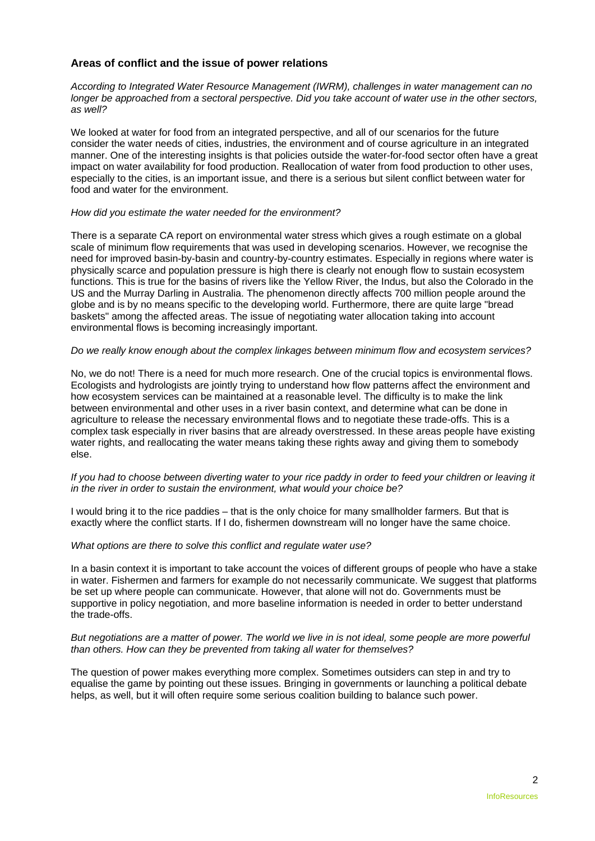# **Areas of conflict and the issue of power relations**

*According to Integrated Water Resource Management (IWRM), challenges in water management can no longer be approached from a sectoral perspective. Did you take account of water use in the other sectors, as well?* 

We looked at water for food from an integrated perspective, and all of our scenarios for the future consider the water needs of cities, industries, the environment and of course agriculture in an integrated manner. One of the interesting insights is that policies outside the water-for-food sector often have a great impact on water availability for food production. Reallocation of water from food production to other uses, especially to the cities, is an important issue, and there is a serious but silent conflict between water for food and water for the environment.

#### *How did you estimate the water needed for the environment?*

There is a separate CA report on environmental water stress which gives a rough estimate on a global scale of minimum flow requirements that was used in developing scenarios. However, we recognise the need for improved basin-by-basin and country-by-country estimates. Especially in regions where water is physically scarce and population pressure is high there is clearly not enough flow to sustain ecosystem functions. This is true for the basins of rivers like the Yellow River, the Indus, but also the Colorado in the US and the Murray Darling in Australia. The phenomenon directly affects 700 million people around the globe and is by no means specific to the developing world. Furthermore, there are quite large "bread baskets" among the affected areas. The issue of negotiating water allocation taking into account environmental flows is becoming increasingly important.

## *Do we really know enough about the complex linkages between minimum flow and ecosystem services?*

No, we do not! There is a need for much more research. One of the crucial topics is environmental flows. Ecologists and hydrologists are jointly trying to understand how flow patterns affect the environment and how ecosystem services can be maintained at a reasonable level. The difficulty is to make the link between environmental and other uses in a river basin context, and determine what can be done in agriculture to release the necessary environmental flows and to negotiate these trade-offs. This is a complex task especially in river basins that are already overstressed. In these areas people have existing water rights, and reallocating the water means taking these rights away and giving them to somebody else.

#### *If you had to choose between diverting water to your rice paddy in order to feed your children or leaving it in the river in order to sustain the environment, what would your choice be?*

I would bring it to the rice paddies – that is the only choice for many smallholder farmers. But that is exactly where the conflict starts. If I do, fishermen downstream will no longer have the same choice.

#### *What options are there to solve this conflict and regulate water use?*

In a basin context it is important to take account the voices of different groups of people who have a stake in water. Fishermen and farmers for example do not necessarily communicate. We suggest that platforms be set up where people can communicate. However, that alone will not do. Governments must be supportive in policy negotiation, and more baseline information is needed in order to better understand the trade-offs.

#### *But negotiations are a matter of power. The world we live in is not ideal, some people are more powerful than others. How can they be prevented from taking all water for themselves?*

The question of power makes everything more complex. Sometimes outsiders can step in and try to equalise the game by pointing out these issues. Bringing in governments or launching a political debate helps, as well, but it will often require some serious coalition building to balance such power.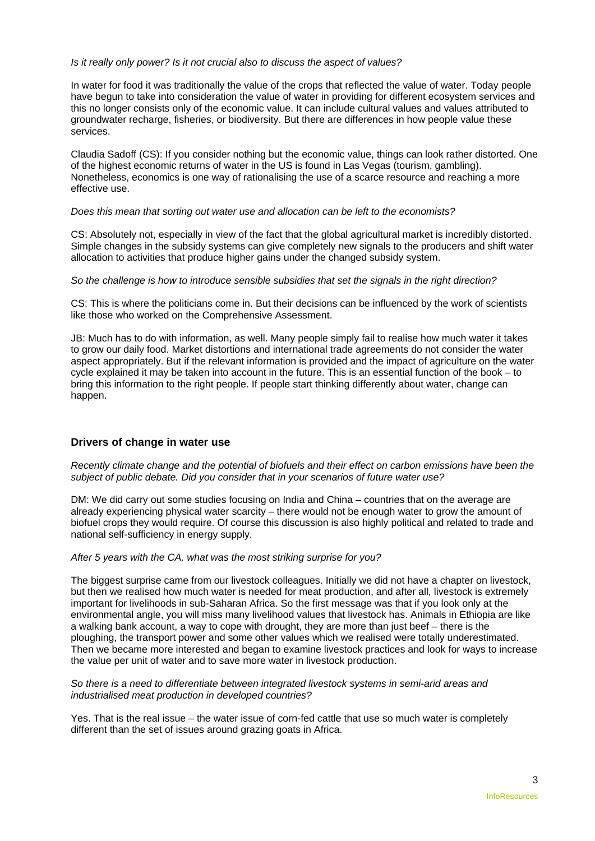## *Is it really only power? Is it not crucial also to discuss the aspect of values?*

In water for food it was traditionally the value of the crops that reflected the value of water. Today people have begun to take into consideration the value of water in providing for different ecosystem services and this no longer consists only of the economic value. It can include cultural values and values attributed to groundwater recharge, fisheries, or biodiversity. But there are differences in how people value these services.

Claudia Sadoff (CS): If you consider nothing but the economic value, things can look rather distorted. One of the highest economic returns of water in the US is found in Las Vegas (tourism, gambling). Nonetheless, economics is one way of rationalising the use of a scarce resource and reaching a more effective use.

## *Does this mean that sorting out water use and allocation can be left to the economists?*

CS: Absolutely not, especially in view of the fact that the global agricultural market is incredibly distorted. Simple changes in the subsidy systems can give completely new signals to the producers and shift water allocation to activities that produce higher gains under the changed subsidy system.

*So the challenge is how to introduce sensible subsidies that set the signals in the right direction?* 

CS: This is where the politicians come in. But their decisions can be influenced by the work of scientists like those who worked on the Comprehensive Assessment.

JB: Much has to do with information, as well. Many people simply fail to realise how much water it takes to grow our daily food. Market distortions and international trade agreements do not consider the water aspect appropriately. But if the relevant information is provided and the impact of agriculture on the water cycle explained it may be taken into account in the future. This is an essential function of the book – to bring this information to the right people. If people start thinking differently about water, change can happen.

# **Drivers of change in water use**

*Recently climate change and the potential of biofuels and their effect on carbon emissions have been the subject of public debate. Did you consider that in your scenarios of future water use?* 

DM: We did carry out some studies focusing on India and China – countries that on the average are already experiencing physical water scarcity - there would not be enough water to grow the amount of biofuel crops they would require. Of course this discussion is also highly political and related to trade and national self-sufficiency in energy supply.

#### *After 5 years with the CA, what was the most striking surprise for you?*

The biggest surprise came from our livestock colleagues. Initially we did not have a chapter on livestock, but then we realised how much water is needed for meat production, and after all, livestock is extremely important for livelihoods in sub-Saharan Africa. So the first message was that if you look only at the environmental angle, you will miss many livelihood values that livestock has. Animals in Ethiopia are like a walking bank account, a way to cope with drought, they are more than just beef – there is the ploughing, the transport power and some other values which we realised were totally underestimated. Then we became more interested and began to examine livestock practices and look for ways to increase the value per unit of water and to save more water in livestock production.

#### *So there is a need to differentiate between integrated livestock systems in semi-arid areas and industrialised meat production in developed countries?*

Yes. That is the real issue – the water issue of corn-fed cattle that use so much water is completely different than the set of issues around grazing goats in Africa.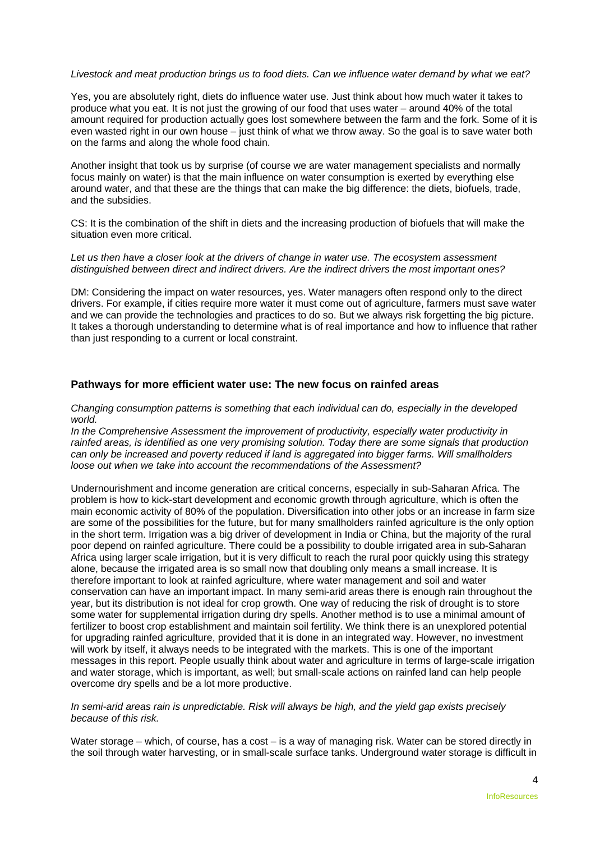## *Livestock and meat production brings us to food diets. Can we influence water demand by what we eat?*

Yes, you are absolutely right, diets do influence water use. Just think about how much water it takes to produce what you eat. It is not just the growing of our food that uses water – around 40% of the total amount required for production actually goes lost somewhere between the farm and the fork. Some of it is even wasted right in our own house – just think of what we throw away. So the goal is to save water both on the farms and along the whole food chain.

Another insight that took us by surprise (of course we are water management specialists and normally focus mainly on water) is that the main influence on water consumption is exerted by everything else around water, and that these are the things that can make the big difference: the diets, biofuels, trade, and the subsidies.

CS: It is the combination of the shift in diets and the increasing production of biofuels that will make the situation even more critical.

#### Let us then have a closer look at the drivers of change in water use. The ecosystem assessment *distinguished between direct and indirect drivers. Are the indirect drivers the most important ones?*

DM: Considering the impact on water resources, yes. Water managers often respond only to the direct drivers. For example, if cities require more water it must come out of agriculture, farmers must save water and we can provide the technologies and practices to do so. But we always risk forgetting the big picture. It takes a thorough understanding to determine what is of real importance and how to influence that rather than just responding to a current or local constraint.

# **Pathways for more efficient water use: The new focus on rainfed areas**

#### *Changing consumption patterns is something that each individual can do, especially in the developed world.*

*In the Comprehensive Assessment the improvement of productivity, especially water productivity in rainfed areas, is identified as one very promising solution. Today there are some signals that production can only be increased and poverty reduced if land is aggregated into bigger farms. Will smallholders loose out when we take into account the recommendations of the Assessment?* 

Undernourishment and income generation are critical concerns, especially in sub-Saharan Africa. The problem is how to kick-start development and economic growth through agriculture, which is often the main economic activity of 80% of the population. Diversification into other jobs or an increase in farm size are some of the possibilities for the future, but for many smallholders rainfed agriculture is the only option in the short term. Irrigation was a big driver of development in India or China, but the majority of the rural poor depend on rainfed agriculture. There could be a possibility to double irrigated area in sub-Saharan Africa using larger scale irrigation, but it is very difficult to reach the rural poor quickly using this strategy alone, because the irrigated area is so small now that doubling only means a small increase. It is therefore important to look at rainfed agriculture, where water management and soil and water conservation can have an important impact. In many semi-arid areas there is enough rain throughout the year, but its distribution is not ideal for crop growth. One way of reducing the risk of drought is to store some water for supplemental irrigation during dry spells. Another method is to use a minimal amount of fertilizer to boost crop establishment and maintain soil fertility. We think there is an unexplored potential for upgrading rainfed agriculture, provided that it is done in an integrated way. However, no investment will work by itself, it always needs to be integrated with the markets. This is one of the important messages in this report. People usually think about water and agriculture in terms of large-scale irrigation and water storage, which is important, as well; but small-scale actions on rainfed land can help people overcome dry spells and be a lot more productive.

### *In semi-arid areas rain is unpredictable. Risk will always be high, and the yield gap exists precisely because of this risk.*

Water storage – which, of course, has a cost – is a way of managing risk. Water can be stored directly in the soil through water harvesting, or in small-scale surface tanks. Underground water storage is difficult in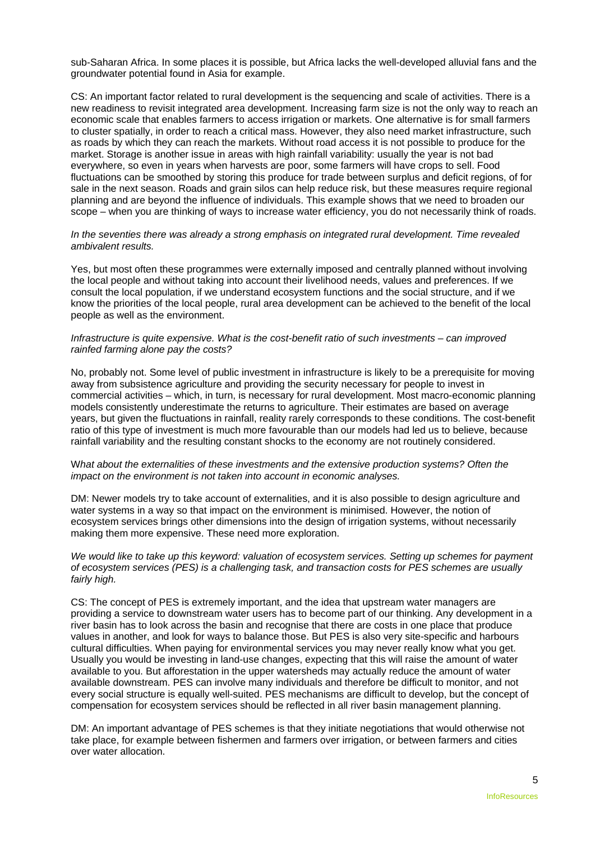sub-Saharan Africa. In some places it is possible, but Africa lacks the well-developed alluvial fans and the groundwater potential found in Asia for example.

CS: An important factor related to rural development is the sequencing and scale of activities. There is a new readiness to revisit integrated area development. Increasing farm size is not the only way to reach an economic scale that enables farmers to access irrigation or markets. One alternative is for small farmers to cluster spatially, in order to reach a critical mass. However, they also need market infrastructure, such as roads by which they can reach the markets. Without road access it is not possible to produce for the market. Storage is another issue in areas with high rainfall variability: usually the year is not bad everywhere, so even in years when harvests are poor, some farmers will have crops to sell. Food fluctuations can be smoothed by storing this produce for trade between surplus and deficit regions, of for sale in the next season. Roads and grain silos can help reduce risk, but these measures require regional planning and are beyond the influence of individuals. This example shows that we need to broaden our scope – when you are thinking of ways to increase water efficiency, you do not necessarily think of roads.

*In the seventies there was already a strong emphasis on integrated rural development. Time revealed ambivalent results.* 

Yes, but most often these programmes were externally imposed and centrally planned without involving the local people and without taking into account their livelihood needs, values and preferences. If we consult the local population, if we understand ecosystem functions and the social structure, and if we know the priorities of the local people, rural area development can be achieved to the benefit of the local people as well as the environment.

#### *Infrastructure is quite expensive. What is the cost-benefit ratio of such investments – can improved rainfed farming alone pay the costs?*

No, probably not. Some level of public investment in infrastructure is likely to be a prerequisite for moving away from subsistence agriculture and providing the security necessary for people to invest in commercial activities – which, in turn, is necessary for rural development. Most macro-economic planning models consistently underestimate the returns to agriculture. Their estimates are based on average years, but given the fluctuations in rainfall, reality rarely corresponds to these conditions. The cost-benefit ratio of this type of investment is much more favourable than our models had led us to believe, because rainfall variability and the resulting constant shocks to the economy are not routinely considered.

#### W*hat about the externalities of these investments and the extensive production systems? Often the impact on the environment is not taken into account in economic analyses.*

DM: Newer models try to take account of externalities, and it is also possible to design agriculture and water systems in a way so that impact on the environment is minimised. However, the notion of ecosystem services brings other dimensions into the design of irrigation systems, without necessarily making them more expensive. These need more exploration.

### *We would like to take up this keyword: valuation of ecosystem services. Setting up schemes for payment of ecosystem services (PES) is a challenging task, and transaction costs for PES schemes are usually fairly high.*

CS: The concept of PES is extremely important, and the idea that upstream water managers are providing a service to downstream water users has to become part of our thinking. Any development in a river basin has to look across the basin and recognise that there are costs in one place that produce values in another, and look for ways to balance those. But PES is also very site-specific and harbours cultural difficulties. When paying for environmental services you may never really know what you get. Usually you would be investing in land-use changes, expecting that this will raise the amount of water available to you. But afforestation in the upper watersheds may actually reduce the amount of water available downstream. PES can involve many individuals and therefore be difficult to monitor, and not every social structure is equally well-suited. PES mechanisms are difficult to develop, but the concept of compensation for ecosystem services should be reflected in all river basin management planning.

DM: An important advantage of PES schemes is that they initiate negotiations that would otherwise not take place, for example between fishermen and farmers over irrigation, or between farmers and cities over water allocation.